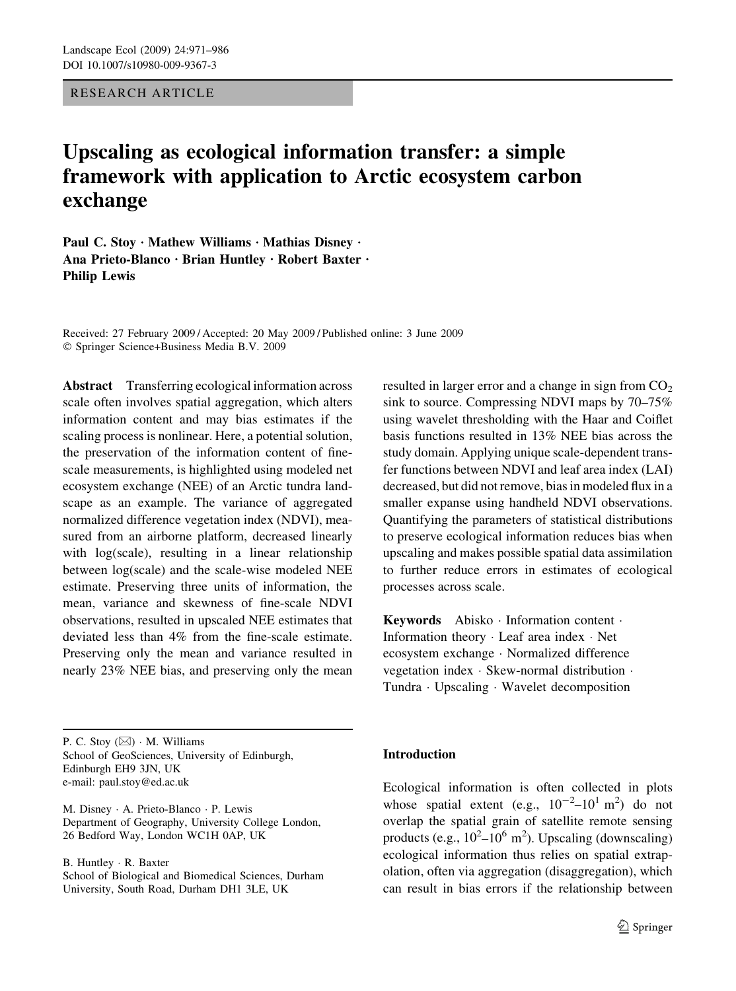RESEARCH ARTICLE

# Upscaling as ecological information transfer: a simple framework with application to Arctic ecosystem carbon exchange

Paul C. Stoy · Mathew Williams · Mathias Disney · Ana Prieto-Blanco · Brian Huntley · Robert Baxter · Philip Lewis

Received: 27 February 2009 / Accepted: 20 May 2009 / Published online: 3 June 2009 Springer Science+Business Media B.V. 2009

Abstract Transferring ecological information across scale often involves spatial aggregation, which alters information content and may bias estimates if the scaling process is nonlinear. Here, a potential solution, the preservation of the information content of finescale measurements, is highlighted using modeled net ecosystem exchange (NEE) of an Arctic tundra landscape as an example. The variance of aggregated normalized difference vegetation index (NDVI), measured from an airborne platform, decreased linearly with log(scale), resulting in a linear relationship between log(scale) and the scale-wise modeled NEE estimate. Preserving three units of information, the mean, variance and skewness of fine-scale NDVI observations, resulted in upscaled NEE estimates that deviated less than 4% from the fine-scale estimate. Preserving only the mean and variance resulted in nearly 23% NEE bias, and preserving only the mean

P. C. Stoy  $(\boxtimes)$   $\cdot$  M. Williams School of GeoSciences, University of Edinburgh, Edinburgh EH9 3JN, UK e-mail: paul.stoy@ed.ac.uk

M. Disney · A. Prieto-Blanco · P. Lewis Department of Geography, University College London, 26 Bedford Way, London WC1H 0AP, UK

B. Huntley · R. Baxter School of Biological and Biomedical Sciences, Durham University, South Road, Durham DH1 3LE, UK

resulted in larger error and a change in sign from  $CO<sub>2</sub>$ sink to source. Compressing NDVI maps by 70–75% using wavelet thresholding with the Haar and Coiflet basis functions resulted in 13% NEE bias across the study domain. Applying unique scale-dependent transfer functions between NDVI and leaf area index (LAI) decreased, but did not remove, bias in modeled flux in a smaller expanse using handheld NDVI observations. Quantifying the parameters of statistical distributions to preserve ecological information reduces bias when upscaling and makes possible spatial data assimilation to further reduce errors in estimates of ecological processes across scale.

Keywords Abisko · Information content · Information theory  $\cdot$  Leaf area index  $\cdot$  Net ecosystem exchange · Normalized difference vegetation index  $\cdot$  Skew-normal distribution  $\cdot$ Tundra · Upscaling · Wavelet decomposition

# Introduction

Ecological information is often collected in plots whose spatial extent (e.g.,  $10^{-2}$ - $10^{1}$  m<sup>2</sup>) do not overlap the spatial grain of satellite remote sensing products (e.g.,  $10^2 - 10^6$  m<sup>2</sup>). Upscaling (downscaling) ecological information thus relies on spatial extrapolation, often via aggregation (disaggregation), which can result in bias errors if the relationship between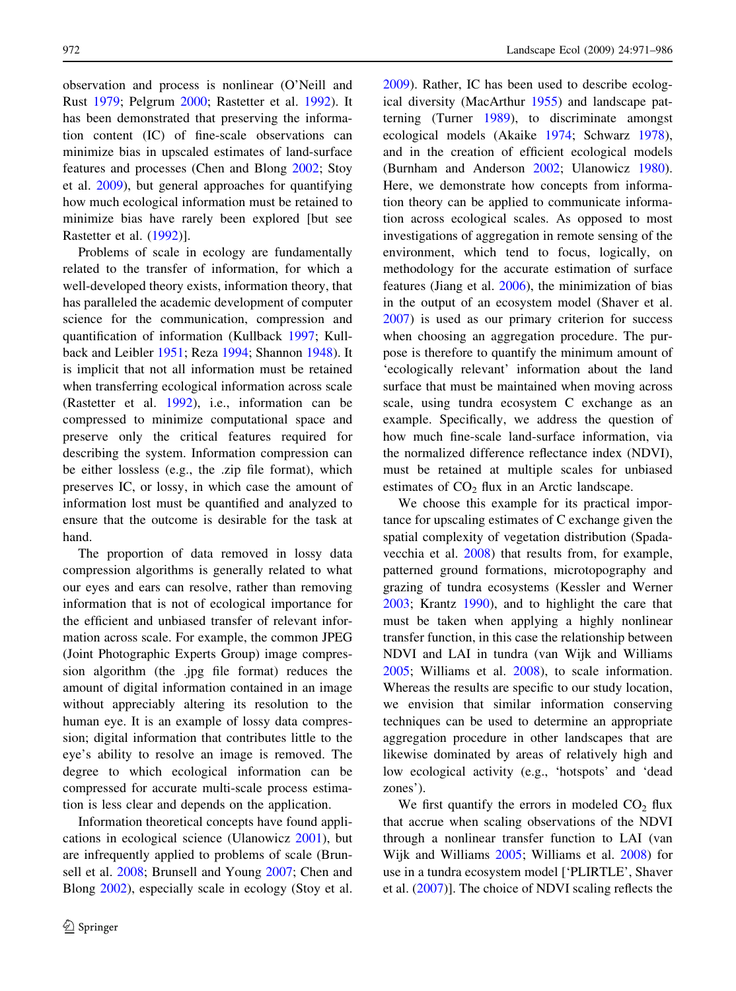observation and process is nonlinear (O'Neill and Rust [1979](#page-14-0); Pelgrum [2000](#page-14-0); Rastetter et al. [1992](#page-14-0)). It has been demonstrated that preserving the information content (IC) of fine-scale observations can minimize bias in upscaled estimates of land-surface features and processes (Chen and Blong [2002](#page-13-0); Stoy et al. [2009\)](#page-14-0), but general approaches for quantifying how much ecological information must be retained to minimize bias have rarely been explored [but see Rastetter et al. ([1992\)](#page-14-0)].

Problems of scale in ecology are fundamentally related to the transfer of information, for which a well-developed theory exists, information theory, that has paralleled the academic development of computer science for the communication, compression and quantification of information (Kullback [1997](#page-14-0); Kullback and Leibler [1951;](#page-14-0) Reza [1994;](#page-14-0) Shannon [1948\)](#page-14-0). It is implicit that not all information must be retained when transferring ecological information across scale (Rastetter et al. [1992](#page-14-0)), i.e., information can be compressed to minimize computational space and preserve only the critical features required for describing the system. Information compression can be either lossless (e.g., the .zip file format), which preserves IC, or lossy, in which case the amount of information lost must be quantified and analyzed to ensure that the outcome is desirable for the task at hand.

The proportion of data removed in lossy data compression algorithms is generally related to what our eyes and ears can resolve, rather than removing information that is not of ecological importance for the efficient and unbiased transfer of relevant information across scale. For example, the common JPEG (Joint Photographic Experts Group) image compression algorithm (the .jpg file format) reduces the amount of digital information contained in an image without appreciably altering its resolution to the human eye. It is an example of lossy data compression; digital information that contributes little to the eye's ability to resolve an image is removed. The degree to which ecological information can be compressed for accurate multi-scale process estimation is less clear and depends on the application.

Information theoretical concepts have found applications in ecological science (Ulanowicz [2001\)](#page-14-0), but are infrequently applied to problems of scale (Brunsell et al. [2008;](#page-13-0) Brunsell and Young [2007;](#page-13-0) Chen and Blong [2002\)](#page-13-0), especially scale in ecology (Stoy et al. [2009\)](#page-14-0). Rather, IC has been used to describe ecological diversity (MacArthur [1955\)](#page-14-0) and landscape patterning (Turner [1989\)](#page-14-0), to discriminate amongst ecological models (Akaike [1974](#page-13-0); Schwarz [1978](#page-14-0)), and in the creation of efficient ecological models (Burnham and Anderson [2002](#page-13-0); Ulanowicz [1980](#page-14-0)). Here, we demonstrate how concepts from information theory can be applied to communicate information across ecological scales. As opposed to most investigations of aggregation in remote sensing of the environment, which tend to focus, logically, on methodology for the accurate estimation of surface features (Jiang et al. [2006](#page-14-0)), the minimization of bias in the output of an ecosystem model (Shaver et al. [2007\)](#page-14-0) is used as our primary criterion for success when choosing an aggregation procedure. The purpose is therefore to quantify the minimum amount of 'ecologically relevant' information about the land surface that must be maintained when moving across scale, using tundra ecosystem C exchange as an example. Specifically, we address the question of how much fine-scale land-surface information, via the normalized difference reflectance index (NDVI), must be retained at multiple scales for unbiased estimates of  $CO<sub>2</sub>$  flux in an Arctic landscape.

We choose this example for its practical importance for upscaling estimates of C exchange given the spatial complexity of vegetation distribution (Spadavecchia et al. [2008\)](#page-14-0) that results from, for example, patterned ground formations, microtopography and grazing of tundra ecosystems (Kessler and Werner [2003;](#page-14-0) Krantz [1990](#page-14-0)), and to highlight the care that must be taken when applying a highly nonlinear transfer function, in this case the relationship between NDVI and LAI in tundra (van Wijk and Williams [2005;](#page-14-0) Williams et al. [2008\)](#page-15-0), to scale information. Whereas the results are specific to our study location, we envision that similar information conserving techniques can be used to determine an appropriate aggregation procedure in other landscapes that are likewise dominated by areas of relatively high and low ecological activity (e.g., 'hotspots' and 'dead zones').

We first quantify the errors in modeled  $CO<sub>2</sub>$  flux that accrue when scaling observations of the NDVI through a nonlinear transfer function to LAI (van Wijk and Williams [2005](#page-14-0); Williams et al. [2008](#page-15-0)) for use in a tundra ecosystem model ['PLIRTLE', Shaver et al. [\(2007](#page-14-0))]. The choice of NDVI scaling reflects the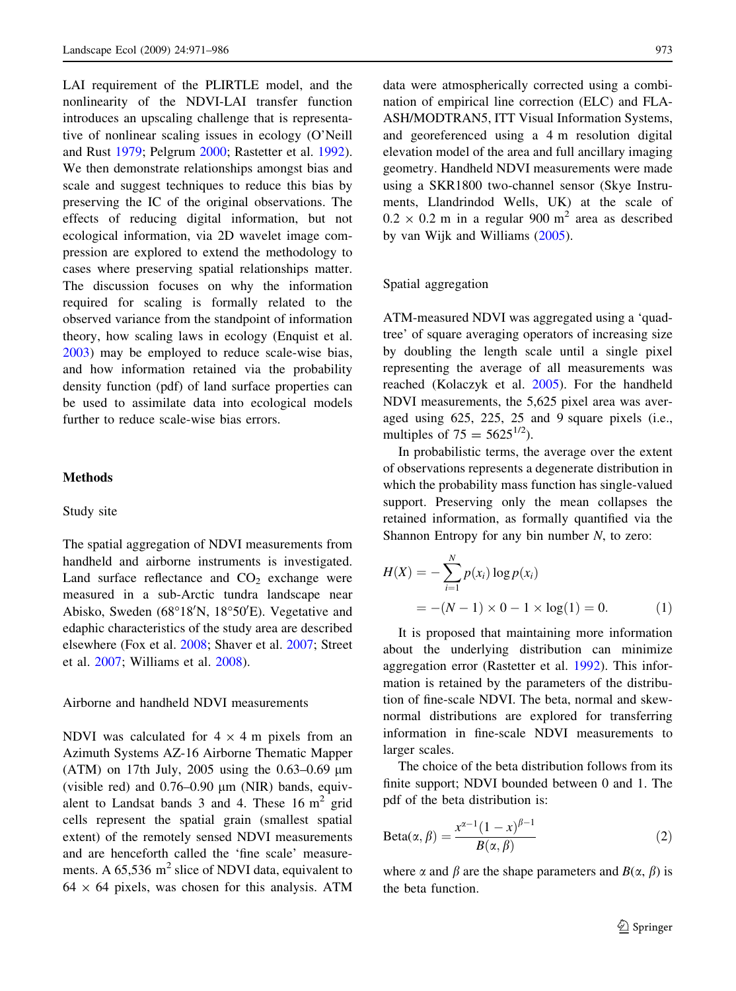LAI requirement of the PLIRTLE model, and the nonlinearity of the NDVI-LAI transfer function introduces an upscaling challenge that is representative of nonlinear scaling issues in ecology (O'Neill and Rust [1979;](#page-14-0) Pelgrum [2000;](#page-14-0) Rastetter et al. [1992](#page-14-0)). We then demonstrate relationships amongst bias and scale and suggest techniques to reduce this bias by preserving the IC of the original observations. The effects of reducing digital information, but not ecological information, via 2D wavelet image compression are explored to extend the methodology to cases where preserving spatial relationships matter. The discussion focuses on why the information required for scaling is formally related to the observed variance from the standpoint of information theory, how scaling laws in ecology (Enquist et al. [2003\)](#page-13-0) may be employed to reduce scale-wise bias, and how information retained via the probability density function (pdf) of land surface properties can be used to assimilate data into ecological models further to reduce scale-wise bias errors.

# Methods

#### Study site

The spatial aggregation of NDVI measurements from handheld and airborne instruments is investigated. Land surface reflectance and  $CO<sub>2</sub>$  exchange were measured in a sub-Arctic tundra landscape near Abisko, Sweden (68°18'N, 18°50'E). Vegetative and edaphic characteristics of the study area are described elsewhere (Fox et al. [2008](#page-13-0); Shaver et al. [2007](#page-14-0); Street et al. [2007](#page-14-0); Williams et al. [2008](#page-15-0)).

#### Airborne and handheld NDVI measurements

NDVI was calculated for  $4 \times 4$  m pixels from an Azimuth Systems AZ-16 Airborne Thematic Mapper (ATM) on 17th July, 2005 using the  $0.63-0.69$  µm (visible red) and  $0.76-0.90 \mu m$  (NIR) bands, equivalent to Landsat bands  $3$  and  $4$ . These 16 m<sup>2</sup> grid cells represent the spatial grain (smallest spatial extent) of the remotely sensed NDVI measurements and are henceforth called the 'fine scale' measurements. A  $65,536$  m<sup>2</sup> slice of NDVI data, equivalent to  $64 \times 64$  pixels, was chosen for this analysis. ATM data were atmospherically corrected using a combination of empirical line correction (ELC) and FLA-ASH/MODTRAN5, ITT Visual Information Systems, and georeferenced using a 4 m resolution digital elevation model of the area and full ancillary imaging geometry. Handheld NDVI measurements were made using a SKR1800 two-channel sensor (Skye Instruments, Llandrindod Wells, UK) at the scale of  $0.2 \times 0.2$  m in a regular 900 m<sup>2</sup> area as described by van Wijk and Williams ([2005\)](#page-14-0).

### Spatial aggregation

ATM-measured NDVI was aggregated using a 'quadtree' of square averaging operators of increasing size by doubling the length scale until a single pixel representing the average of all measurements was reached (Kolaczyk et al. [2005\)](#page-14-0). For the handheld NDVI measurements, the 5,625 pixel area was averaged using 625, 225, 25 and 9 square pixels (i.e., multiples of  $75 = 5625^{1/2}$ ).

In probabilistic terms, the average over the extent of observations represents a degenerate distribution in which the probability mass function has single-valued support. Preserving only the mean collapses the retained information, as formally quantified via the Shannon Entropy for any bin number  $N$ , to zero:

$$
H(X) = -\sum_{i=1}^{N} p(x_i) \log p(x_i)
$$
  
= -(N - 1) × 0 - 1 × log(1) = 0. (1)

It is proposed that maintaining more information about the underlying distribution can minimize aggregation error (Rastetter et al. [1992](#page-14-0)). This information is retained by the parameters of the distribution of fine-scale NDVI. The beta, normal and skewnormal distributions are explored for transferring information in fine-scale NDVI measurements to larger scales.

The choice of the beta distribution follows from its finite support; NDVI bounded between 0 and 1. The pdf of the beta distribution is:

$$
Beta(\alpha, \beta) = \frac{x^{\alpha - 1}(1 - x)^{\beta - 1}}{B(\alpha, \beta)}
$$
(2)

where  $\alpha$  and  $\beta$  are the shape parameters and  $B(\alpha, \beta)$  is the beta function.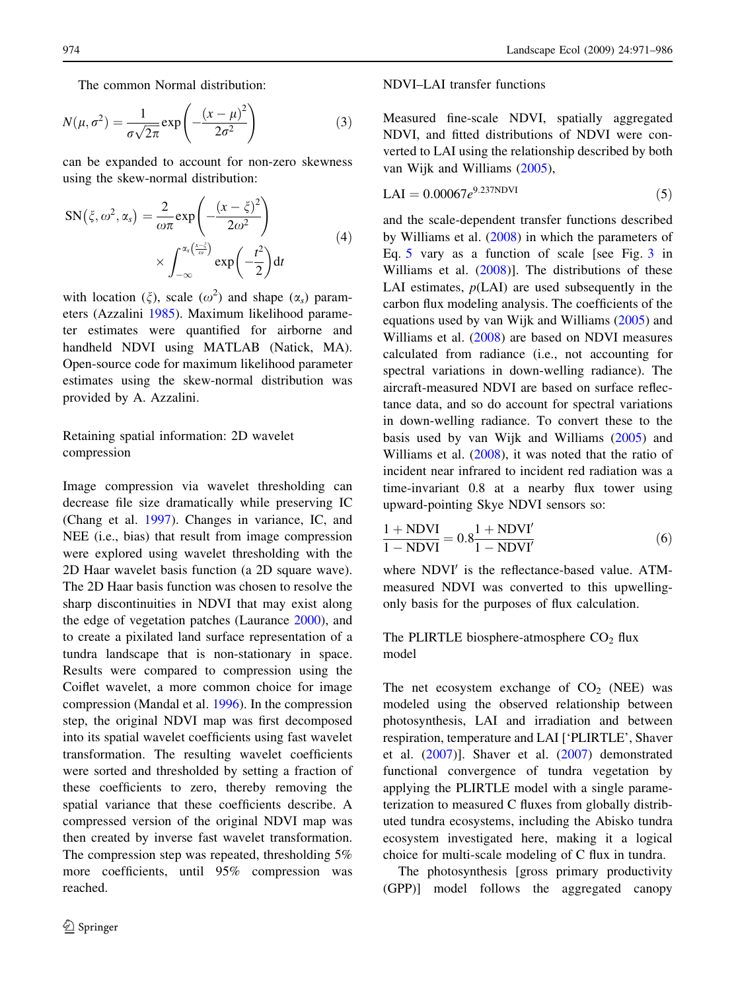<span id="page-3-0"></span>The common Normal distribution:

$$
N(\mu, \sigma^2) = \frac{1}{\sigma\sqrt{2\pi}} \exp\left(-\frac{(x-\mu)^2}{2\sigma^2}\right)
$$
 (3)

can be expanded to account for non-zero skewness using the skew-normal distribution:

$$
SN(\xi, \omega^2, \alpha_s) = \frac{2}{\omega \pi} exp\left(-\frac{(x - \xi)^2}{2\omega^2}\right)
$$
  
 
$$
\times \int_{-\infty}^{\alpha_s \left(\frac{x - \xi}{\omega}\right)} exp\left(-\frac{t^2}{2}\right) dt
$$
 (4)

with location  $(\xi)$ , scale  $(\omega^2)$  and shape  $(\alpha_s)$  parameters (Azzalini [1985](#page-13-0)). Maximum likelihood parameter estimates were quantified for airborne and handheld NDVI using MATLAB (Natick, MA). Open-source code for maximum likelihood parameter estimates using the skew-normal distribution was provided by A. Azzalini.

# Retaining spatial information: 2D wavelet compression

Image compression via wavelet thresholding can decrease file size dramatically while preserving IC (Chang et al. [1997](#page-13-0)). Changes in variance, IC, and NEE (i.e., bias) that result from image compression were explored using wavelet thresholding with the 2D Haar wavelet basis function (a 2D square wave). The 2D Haar basis function was chosen to resolve the sharp discontinuities in NDVI that may exist along the edge of vegetation patches (Laurance [2000\)](#page-14-0), and to create a pixilated land surface representation of a tundra landscape that is non-stationary in space. Results were compared to compression using the Coiflet wavelet, a more common choice for image compression (Mandal et al. [1996\)](#page-14-0). In the compression step, the original NDVI map was first decomposed into its spatial wavelet coefficients using fast wavelet transformation. The resulting wavelet coefficients were sorted and thresholded by setting a fraction of these coefficients to zero, thereby removing the spatial variance that these coefficients describe. A compressed version of the original NDVI map was then created by inverse fast wavelet transformation. The compression step was repeated, thresholding 5% more coefficients, until 95% compression was reached.

## NDVI–LAI transfer functions

Measured fine-scale NDVI, spatially aggregated NDVI, and fitted distributions of NDVI were converted to LAI using the relationship described by both van Wijk and Williams [\(2005](#page-14-0)),

$$
LAI = 0.00067e^{9.237NDVI}
$$
\n(5)

and the scale-dependent transfer functions described by Williams et al. ([2008\)](#page-15-0) in which the parameters of Eq. 5 vary as a function of scale [see Fig. [3](#page-7-0) in Williams et al. ([2008\)](#page-15-0)]. The distributions of these LAI estimates,  $p(LAI)$  are used subsequently in the carbon flux modeling analysis. The coefficients of the equations used by van Wijk and Williams ([2005\)](#page-14-0) and Williams et al. ([2008](#page-15-0)) are based on NDVI measures calculated from radiance (i.e., not accounting for spectral variations in down-welling radiance). The aircraft-measured NDVI are based on surface reflectance data, and so do account for spectral variations in down-welling radiance. To convert these to the basis used by van Wijk and Williams ([2005](#page-14-0)) and Williams et al. ([2008\)](#page-15-0), it was noted that the ratio of incident near infrared to incident red radiation was a time-invariant 0.8 at a nearby flux tower using upward-pointing Skye NDVI sensors so:

$$
\frac{1 + \text{NDVI}}{1 - \text{NDVI}} = 0.8 \frac{1 + \text{NDVI}'}{1 - \text{NDVI}'} \tag{6}
$$

where NDVI<sup>'</sup> is the reflectance-based value. ATMmeasured NDVI was converted to this upwellingonly basis for the purposes of flux calculation.

# The PLIRTLE biosphere-atmosphere  $CO<sub>2</sub>$  flux model

The net ecosystem exchange of  $CO<sub>2</sub>$  (NEE) was modeled using the observed relationship between photosynthesis, LAI and irradiation and between respiration, temperature and LAI ['PLIRTLE', Shaver et al. ([2007\)](#page-14-0)]. Shaver et al. [\(2007](#page-14-0)) demonstrated functional convergence of tundra vegetation by applying the PLIRTLE model with a single parameterization to measured C fluxes from globally distributed tundra ecosystems, including the Abisko tundra ecosystem investigated here, making it a logical choice for multi-scale modeling of C flux in tundra.

The photosynthesis [gross primary productivity (GPP)] model follows the aggregated canopy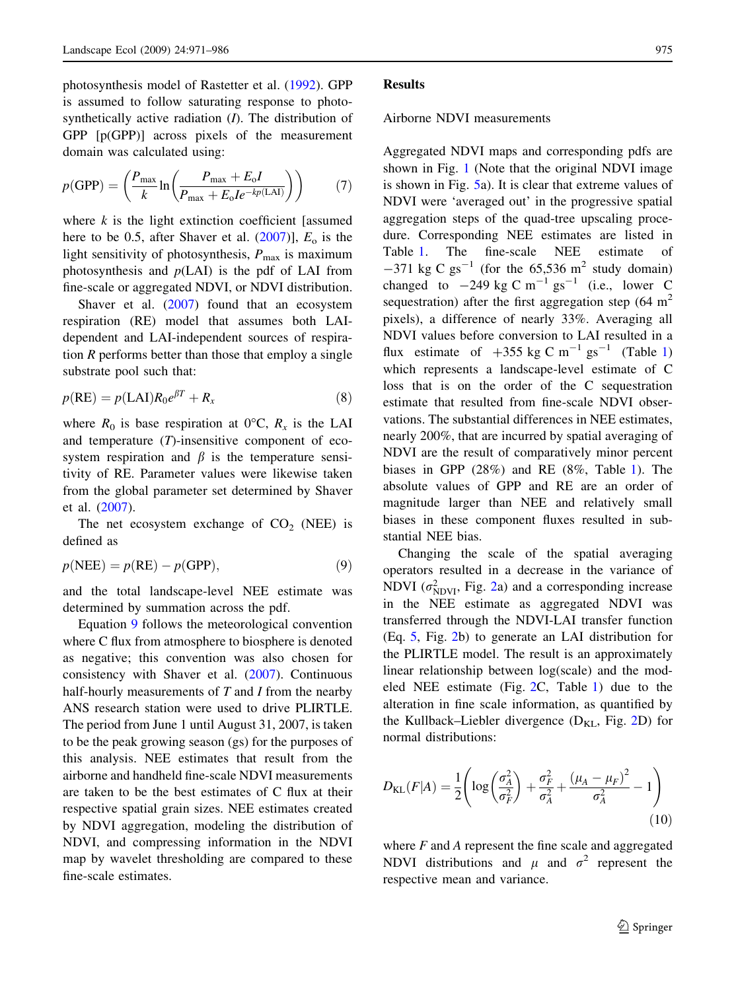<span id="page-4-0"></span>photosynthesis model of Rastetter et al. ([1992\)](#page-14-0). GPP is assumed to follow saturating response to photosynthetically active radiation  $(I)$ . The distribution of GPP [p(GPP)] across pixels of the measurement domain was calculated using:

$$
p(\text{GPP}) = \left(\frac{P_{\text{max}}}{k} \ln \left( \frac{P_{\text{max}} + E_o I}{P_{\text{max}} + E_o I e^{-kp(\text{LAI})}} \right) \right) \tag{7}
$$

where  $k$  is the light extinction coefficient [assumed] here to be 0.5, after Shaver et al.  $(2007)$  $(2007)$ ],  $E<sub>o</sub>$  is the light sensitivity of photosynthesis,  $P_{\text{max}}$  is maximum photosynthesis and  $p(LAI)$  is the pdf of LAI from fine-scale or aggregated NDVI, or NDVI distribution.

Shaver et al. ([2007\)](#page-14-0) found that an ecosystem respiration (RE) model that assumes both LAIdependent and LAI-independent sources of respiration  *performs better than those that employ a single* substrate pool such that:

$$
p(RE) = p(LAI)R_0e^{\beta T} + R_x \tag{8}
$$

where  $R_0$  is base respiration at 0°C,  $R_x$  is the LAI and temperature  $(T)$ -insensitive component of ecosystem respiration and  $\beta$  is the temperature sensitivity of RE. Parameter values were likewise taken from the global parameter set determined by Shaver et al. [\(2007](#page-14-0)).

The net ecosystem exchange of  $CO<sub>2</sub>$  (NEE) is defined as

$$
p(\text{NEE}) = p(\text{RE}) - p(\text{GPP}),\tag{9}
$$

and the total landscape-level NEE estimate was determined by summation across the pdf.

Equation 9 follows the meteorological convention where C flux from atmosphere to biosphere is denoted as negative; this convention was also chosen for consistency with Shaver et al. [\(2007](#page-14-0)). Continuous half-hourly measurements of  $T$  and  $I$  from the nearby ANS research station were used to drive PLIRTLE. The period from June 1 until August 31, 2007, is taken to be the peak growing season (gs) for the purposes of this analysis. NEE estimates that result from the airborne and handheld fine-scale NDVI measurements are taken to be the best estimates of C flux at their respective spatial grain sizes. NEE estimates created by NDVI aggregation, modeling the distribution of NDVI, and compressing information in the NDVI map by wavelet thresholding are compared to these fine-scale estimates.

#### Results

#### Airborne NDVI measurements

Aggregated NDVI maps and corresponding pdfs are shown in Fig. [1](#page-5-0) (Note that the original NDVI image is shown in Fig. [5a](#page-9-0)). It is clear that extreme values of NDVI were 'averaged out' in the progressive spatial aggregation steps of the quad-tree upscaling procedure. Corresponding NEE estimates are listed in Table [1](#page-6-0). The fine-scale NEE estimate of  $-371 \text{ kg C g}^{-1}$  (for the 65,536 m<sup>2</sup> study domain) changed to  $-249 \text{ kg C m}^{-1} \text{ g s}^{-1}$  (i.e., lower C sequestration) after the first aggregation step  $(64 \text{ m}^2)$ pixels), a difference of nearly 33%. Averaging all NDVI values before conversion to LAI resulted in a flux estimate of  $+355$  kg C m<sup>-1</sup> gs<sup>-1</sup> (Table [1\)](#page-6-0) which represents a landscape-level estimate of C loss that is on the order of the C sequestration estimate that resulted from fine-scale NDVI observations. The substantial differences in NEE estimates, nearly 200%, that are incurred by spatial averaging of NDVI are the result of comparatively minor percent biases in GPP (28%) and RE (8%, Table [1\)](#page-6-0). The absolute values of GPP and RE are an order of magnitude larger than NEE and relatively small biases in these component fluxes resulted in substantial NEE bias.

Changing the scale of the spatial averaging operators resulted in a decrease in the variance of NDVI ( $\sigma_{NDVI}^2$ , Fig. [2a](#page-6-0)) and a corresponding increase in the NEE estimate as aggregated NDVI was transferred through the NDVI-LAI transfer function (Eq. [5](#page-3-0), Fig. [2b](#page-6-0)) to generate an LAI distribution for the PLIRTLE model. The result is an approximately linear relationship between log(scale) and the modeled NEE estimate (Fig. [2](#page-6-0)C, Table [1](#page-6-0)) due to the alteration in fine scale information, as quantified by the Kullback–Liebler divergence  $(D_{KL}, Fig. 2D)$  $(D_{KL}, Fig. 2D)$  $(D_{KL}, Fig. 2D)$  for normal distributions:

$$
D_{\text{KL}}(F|A) = \frac{1}{2} \left( \log \left( \frac{\sigma_A^2}{\sigma_F^2} \right) + \frac{\sigma_F^2}{\sigma_A^2} + \frac{\left(\mu_A - \mu_F\right)^2}{\sigma_A^2} - 1 \right) \tag{10}
$$

where  $F$  and  $A$  represent the fine scale and aggregated NDVI distributions and  $\mu$  and  $\sigma^2$  represent the respective mean and variance.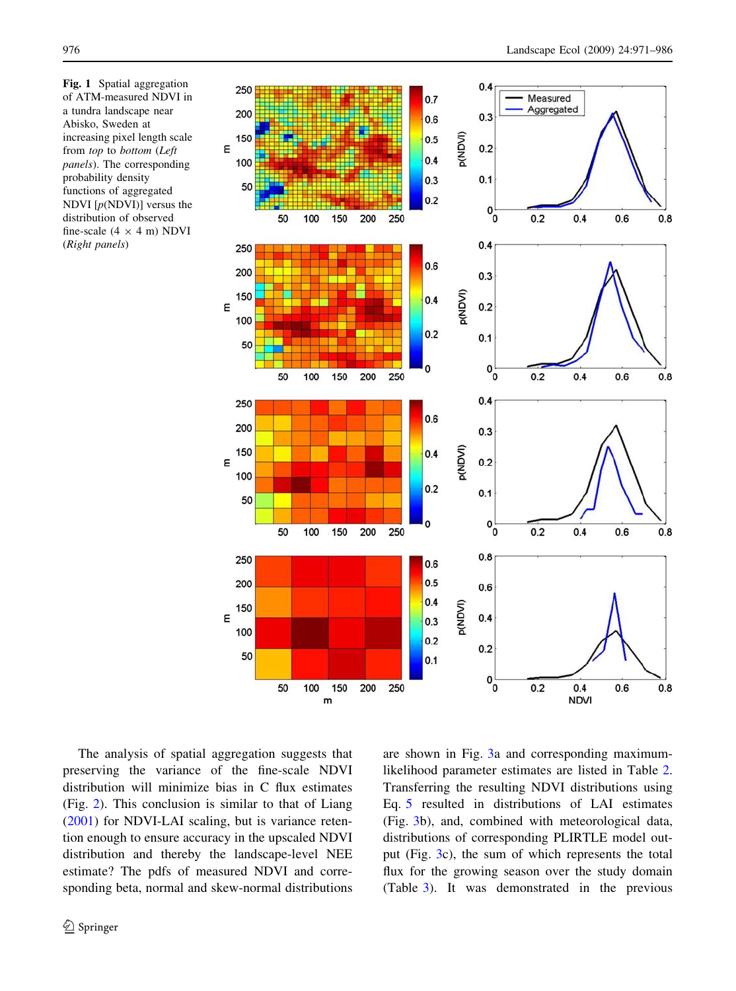

<span id="page-5-0"></span>Fig. 1 Spatial aggregation of ATM-measured NDVI in a tundra landscape near Abisko, Sweden at increasing pixel length scale from top to bottom (Left panels). The corresponding probability density functions of aggregated NDVI  $[p(\text{NDVI})]$  versus the distribution of observed fine-scale  $(4 \times 4 \text{ m})$  NDVI (Right panels)

The analysis of spatial aggregation suggests that preserving the variance of the fine-scale NDVI distribution will minimize bias in C flux estimates (Fig. [2](#page-6-0)). This conclusion is similar to that of Liang [\(2001](#page-14-0)) for NDVI-LAI scaling, but is variance retention enough to ensure accuracy in the upscaled NDVI distribution and thereby the landscape-level NEE estimate? The pdfs of measured NDVI and corresponding beta, normal and skew-normal distributions are shown in Fig. [3a](#page-7-0) and corresponding maximumlikelihood parameter estimates are listed in Table [2.](#page-8-0) Transferring the resulting NDVI distributions using Eq. [5](#page-3-0) resulted in distributions of LAI estimates (Fig. [3](#page-7-0)b), and, combined with meteorological data, distributions of corresponding PLIRTLE model output (Fig. [3](#page-7-0)c), the sum of which represents the total flux for the growing season over the study domain (Table [3](#page-8-0)). It was demonstrated in the previous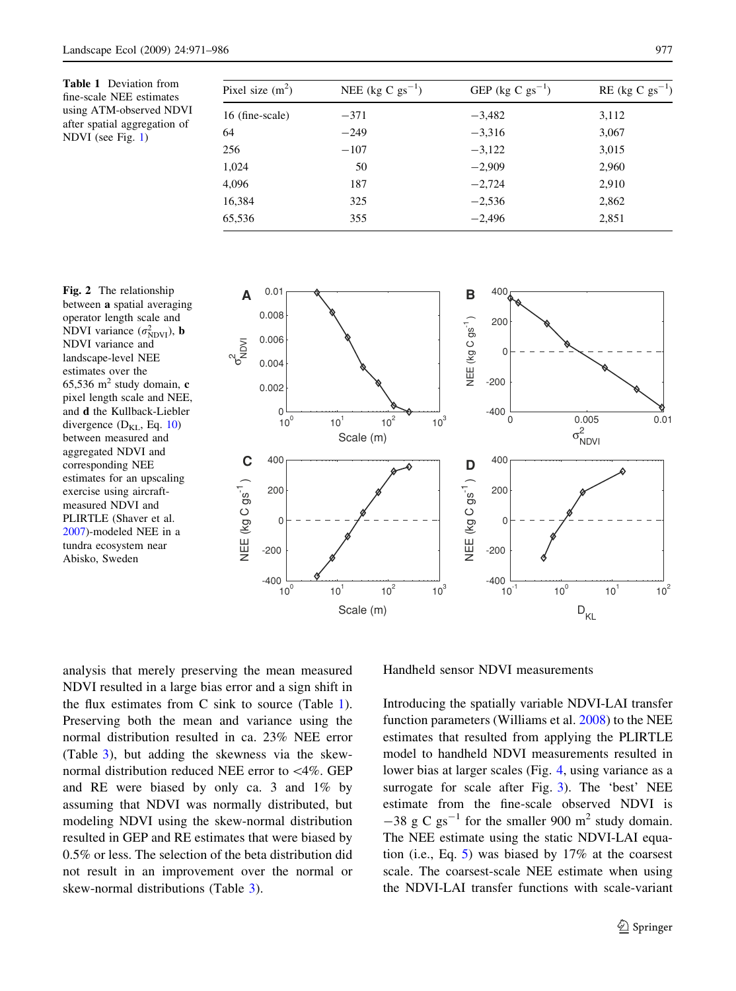<span id="page-6-0"></span>Table 1 Deviation from fine-scale NEE estimates using ATM-observed NDVI after spatial aggregation of NDVI (see Fig. [1\)](#page-5-0)

| Pixel size $(m^2)$ | NEE (kg C $\text{gs}^{-1}$ ) | GEP (kg C $gs^{-1}$ ) | $RE$ (kg C $gs^{-1}$ ) |
|--------------------|------------------------------|-----------------------|------------------------|
| 16 (fine-scale)    | $-371$                       | $-3,482$              | 3,112                  |
| 64                 | $-249$                       | $-3,316$              | 3,067                  |
| 256                | $-107$                       | $-3,122$              | 3,015                  |
| 1,024              | 50                           | $-2,909$              | 2,960                  |
| 4,096              | 187                          | $-2,724$              | 2,910                  |
| 16,384             | 325                          | $-2,536$              | 2,862                  |
| 65,536             | 355                          | $-2,496$              | 2,851                  |

Fig. 2 The relationship between a spatial averaging operator length scale and NDVI variance  $(\sigma_{NDVI}^2)$ , **b** NDVI variance and landscape-level NEE estimates over the 65,536 m<sup>2</sup> study domain,  $c$ pixel length scale and NEE, and d the Kullback-Liebler divergence  $(D_{KL}, Eq. 10)$  $(D_{KL}, Eq. 10)$  $(D_{KL}, Eq. 10)$ between measured and aggregated NDVI and corresponding NEE estimates for an upscaling exercise using aircraftmeasured NDVI and PLIRTLE (Shaver et al. [2007\)](#page-14-0)-modeled NEE in a tundra ecosystem near Abisko, Sweden



analysis that merely preserving the mean measured NDVI resulted in a large bias error and a sign shift in the flux estimates from  $C$  sink to source (Table 1). Preserving both the mean and variance using the normal distribution resulted in ca. 23% NEE error (Table [3](#page-8-0)), but adding the skewness via the skewnormal distribution reduced NEE error to\4%. GEP and RE were biased by only ca. 3 and 1% by assuming that NDVI was normally distributed, but modeling NDVI using the skew-normal distribution resulted in GEP and RE estimates that were biased by 0.5% or less. The selection of the beta distribution did not result in an improvement over the normal or skew-normal distributions (Table [3](#page-8-0)).

Handheld sensor NDVI measurements

Introducing the spatially variable NDVI-LAI transfer function parameters (Williams et al. [2008\)](#page-15-0) to the NEE estimates that resulted from applying the PLIRTLE model to handheld NDVI measurements resulted in lower bias at larger scales (Fig. [4,](#page-8-0) using variance as a surrogate for scale after Fig. [3](#page-7-0)). The 'best' NEE estimate from the fine-scale observed NDVI is  $-38$  g C gs<sup>-1</sup> for the smaller 900 m<sup>2</sup> study domain. The NEE estimate using the static NDVI-LAI equation (i.e., Eq. [5](#page-3-0)) was biased by 17% at the coarsest scale. The coarsest-scale NEE estimate when using the NDVI-LAI transfer functions with scale-variant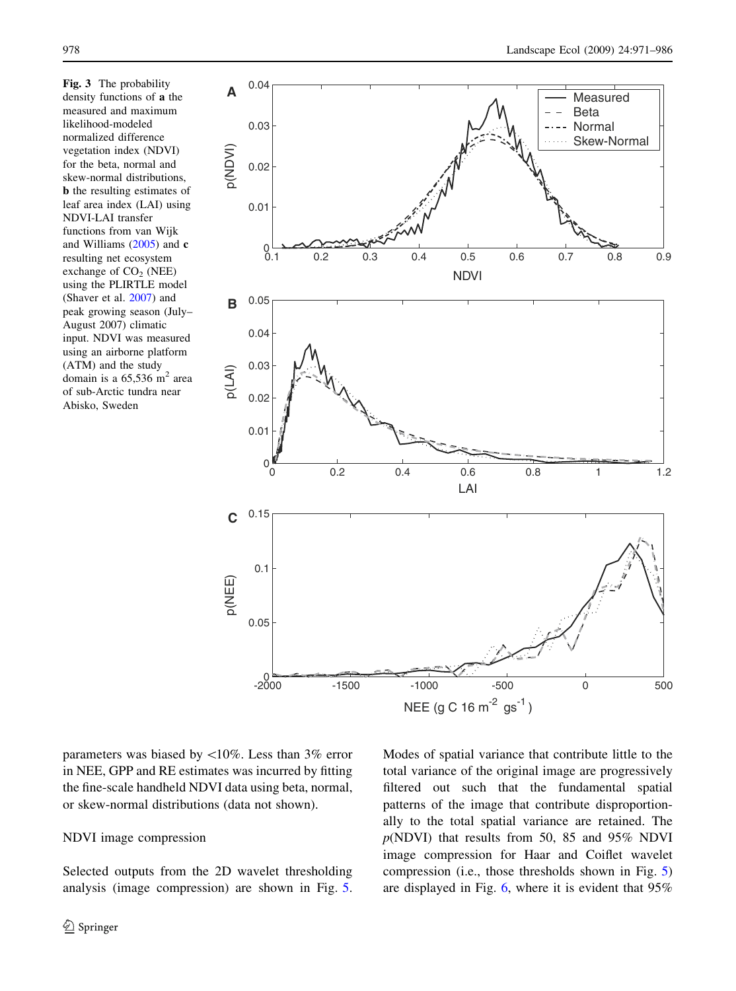<span id="page-7-0"></span>Fig. 3 The probability density functions of a the measured and maximum likelihood-modeled normalized difference vegetation index (NDVI) for the beta, normal and skew-normal distributions, b the resulting estimates of leaf area index (LAI) using NDVI-LAI transfer functions from van Wijk and Williams ([2005\)](#page-14-0) and c resulting net ecosystem exchange of  $CO<sub>2</sub>$  (NEE) using the PLIRTLE model (Shaver et al. [2007](#page-14-0)) and peak growing season (July– August 2007) climatic input. NDVI was measured using an airborne platform (ATM) and the study domain is a  $65,536$  m<sup>2</sup> area of sub-Arctic tundra near Abisko, Sweden



parameters was biased by  $\langle 10\%$ . Less than 3% error in NEE, GPP and RE estimates was incurred by fitting the fine-scale handheld NDVI data using beta, normal, or skew-normal distributions (data not shown).

# NDVI image compression

Selected outputs from the 2D wavelet thresholding analysis (image compression) are shown in Fig. [5.](#page-9-0) Modes of spatial variance that contribute little to the total variance of the original image are progressively filtered out such that the fundamental spatial patterns of the image that contribute disproportionally to the total spatial variance are retained. The  $p(NDVI)$  that results from 50, 85 and 95% NDVI image compression for Haar and Coiflet wavelet compression (i.e., those thresholds shown in Fig. [5\)](#page-9-0) are displayed in Fig. [6,](#page-10-0) where it is evident that 95%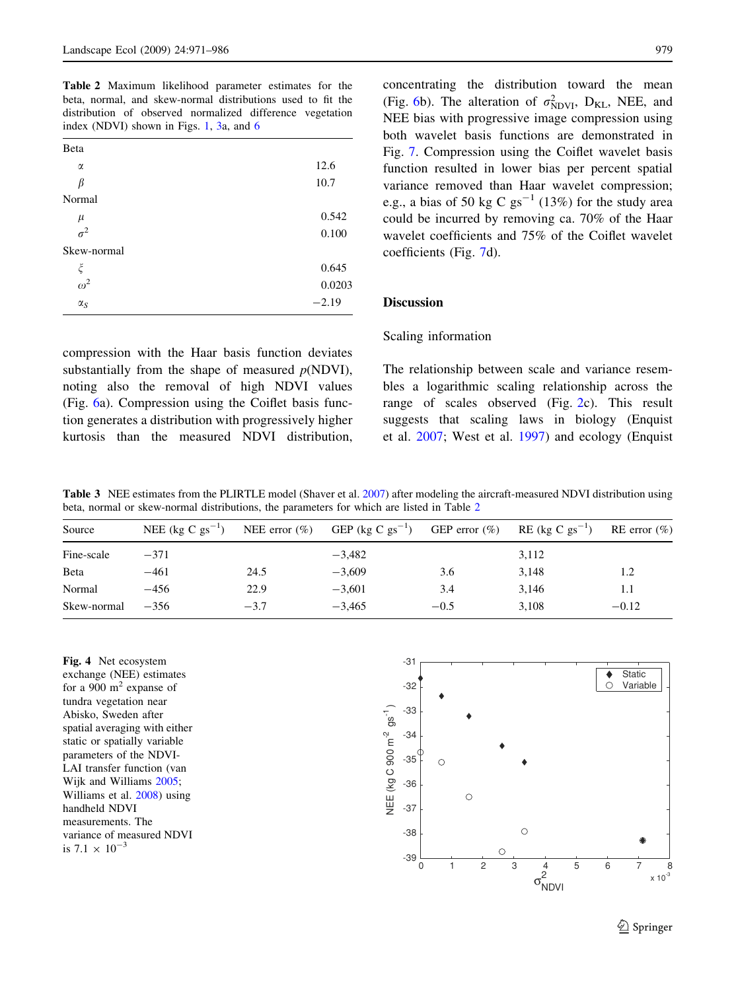<span id="page-8-0"></span>Table 2 Maximum likelihood parameter estimates for the beta, normal, and skew-normal distributions used to fit the distribution of observed normalized difference vegetation index (NDVI) shown in Figs. [1](#page-5-0), [3](#page-7-0)a, and [6](#page-10-0)

| Beta        |         |
|-------------|---------|
| α           | 12.6    |
| β           | 10.7    |
| Normal      |         |
| $\mu$       | 0.542   |
| $\sigma^2$  | 0.100   |
| Skew-normal |         |
| ξ           | 0.645   |
| $\omega^2$  | 0.0203  |
| $\alpha_S$  | $-2.19$ |

compression with the Haar basis function deviates substantially from the shape of measured  $p(\text{NDVI})$ , noting also the removal of high NDVI values (Fig. [6](#page-10-0)a). Compression using the Coiflet basis function generates a distribution with progressively higher kurtosis than the measured NDVI distribution, concentrating the distribution toward the mean (Fig. [6](#page-10-0)b). The alteration of  $\sigma_{NDVI}^2$ , D<sub>KL</sub>, NEE, and NEE bias with progressive image compression using both wavelet basis functions are demonstrated in Fig. [7.](#page-11-0) Compression using the Coiflet wavelet basis function resulted in lower bias per percent spatial variance removed than Haar wavelet compression; e.g., a bias of 50 kg C  $gs^{-1}$  (13%) for the study area could be incurred by removing ca. 70% of the Haar wavelet coefficients and 75% of the Coiflet wavelet coefficients (Fig. [7d](#page-11-0)).

# Discussion

## Scaling information

The relationship between scale and variance resembles a logarithmic scaling relationship across the range of scales observed (Fig. [2](#page-6-0)c). This result suggests that scaling laws in biology (Enquist et al. [2007;](#page-13-0) West et al. [1997](#page-14-0)) and ecology (Enquist

Table 3 NEE estimates from the PLIRTLE model (Shaver et al. [2007\)](#page-14-0) after modeling the aircraft-measured NDVI distribution using beta, normal or skew-normal distributions, the parameters for which are listed in Table 2

| Source      | NEE (kg C $gs^{-1}$ ) |        | NEE error (%) GEP (kg C gs <sup>-1</sup> ) GEP error (%) RE (kg C gs <sup>-1</sup> ) RE error (%) |        |       |         |
|-------------|-----------------------|--------|---------------------------------------------------------------------------------------------------|--------|-------|---------|
| Fine-scale  | $-371$                |        | $-3.482$                                                                                          |        | 3,112 |         |
| Beta        | $-461$                | 24.5   | $-3.609$                                                                                          | 3.6    | 3.148 | 1.2     |
| Normal      | $-456$                | 22.9   | $-3.601$                                                                                          | 3.4    | 3.146 | 1.1     |
| Skew-normal | $-356$                | $-3.7$ | $-3.465$                                                                                          | $-0.5$ | 3.108 | $-0.12$ |

Fig. 4 Net ecosystem exchange (NEE) estimates for a 900  $m<sup>2</sup>$  expanse of tundra vegetation near Abisko, Sweden after spatial averaging with either static or spatially variable parameters of the NDVI-LAI transfer function (van Wijk and Williams [2005;](#page-14-0) Williams et al. [2008\)](#page-15-0) using handheld NDVI measurements. The variance of measured NDVI is  $7.1 \times 10^{-3}$ 

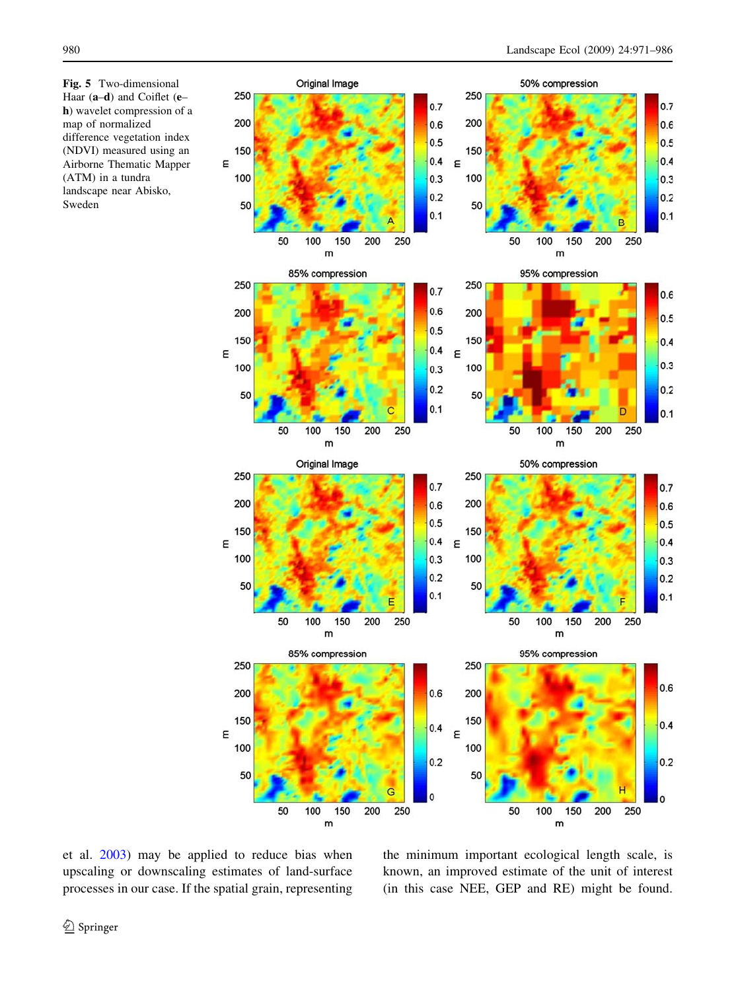<span id="page-9-0"></span>Fig. 5 Two-dimensional Haar (a–d) and Coiflet (e– h) wavelet compression of a map of normalized difference vegetation index (NDVI) measured using an Airborne Thematic Mapper (ATM) in a tundra landscape near Abisko, Sweden



et al. [2003](#page-13-0)) may be applied to reduce bias when upscaling or downscaling estimates of land-surface processes in our case. If the spatial grain, representing the minimum important ecological length scale, is known, an improved estimate of the unit of interest (in this case NEE, GEP and RE) might be found.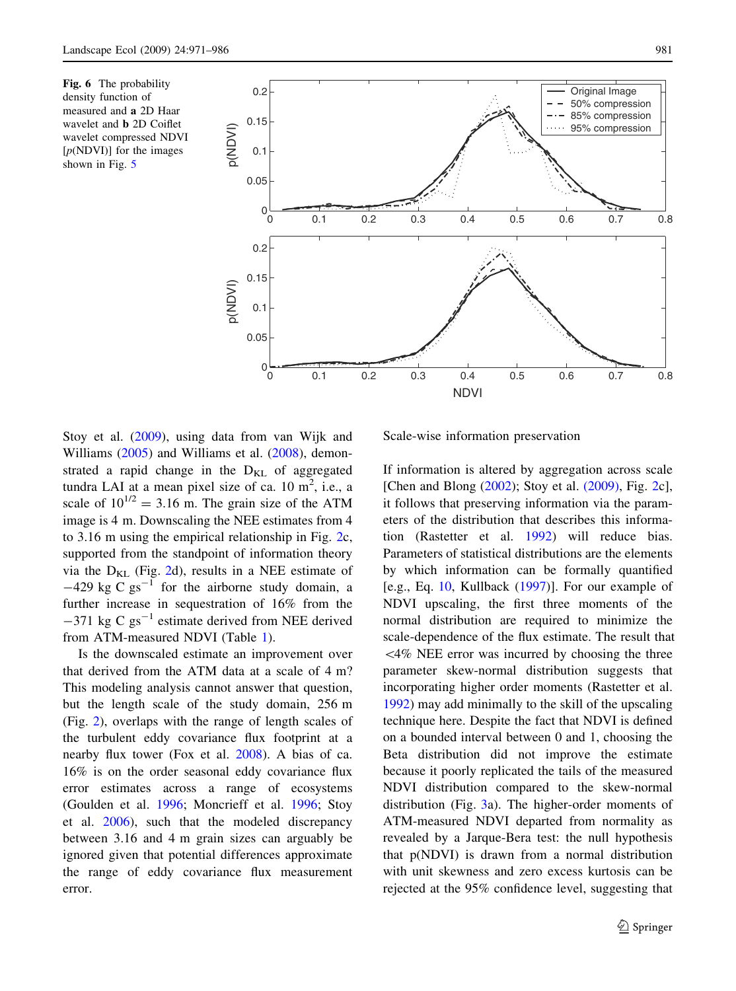<span id="page-10-0"></span>Fig. 6 The probability density function of measured and a 2D Haar wavelet and b 2D Coiflet wavelet compressed NDVI  $[p(\text{NDVI})]$  for the images shown in Fig. [5](#page-9-0)



Stoy et al. [\(2009](#page-14-0)), using data from van Wijk and Williams [\(2005](#page-14-0)) and Williams et al. [\(2008](#page-15-0)), demonstrated a rapid change in the  $D_{KL}$  of aggregated tundra LAI at a mean pixel size of ca.  $10 \text{ m}^2$ , i.e., a scale of  $10^{1/2} = 3.16$  m. The grain size of the ATM image is 4 m. Downscaling the NEE estimates from 4 to 3.16 m using the empirical relationship in Fig. [2](#page-6-0)c, supported from the standpoint of information theory via the  $D_{KL}$  (Fig. [2d](#page-6-0)), results in a NEE estimate of  $-429 \text{ kg C g}^{-1}$  for the airborne study domain, a further increase in sequestration of 16% from the  $-371$  kg C gs<sup>-1</sup> estimate derived from NEE derived from ATM-measured NDVI (Table [1](#page-6-0)).

Is the downscaled estimate an improvement over that derived from the ATM data at a scale of 4 m? This modeling analysis cannot answer that question, but the length scale of the study domain, 256 m (Fig. [2](#page-6-0)), overlaps with the range of length scales of the turbulent eddy covariance flux footprint at a nearby flux tower (Fox et al. [2008](#page-13-0)). A bias of ca. 16% is on the order seasonal eddy covariance flux error estimates across a range of ecosystems (Goulden et al. [1996](#page-13-0); Moncrieff et al. [1996](#page-14-0); Stoy et al. [2006\)](#page-14-0), such that the modeled discrepancy between 3.16 and 4 m grain sizes can arguably be ignored given that potential differences approximate the range of eddy covariance flux measurement error.

Scale-wise information preservation

If information is altered by aggregation across scale [Chen and Blong [\(2002](#page-13-0)); Stoy et al. [\(2009\)](#page-14-0), Fig. [2c](#page-6-0)], it follows that preserving information via the parameters of the distribution that describes this information (Rastetter et al. [1992\)](#page-14-0) will reduce bias. Parameters of statistical distributions are the elements by which information can be formally quantified [e.g., Eq. [10,](#page-4-0) Kullback  $(1997)$  $(1997)$ ]. For our example of NDVI upscaling, the first three moments of the normal distribution are required to minimize the scale-dependence of the flux estimate. The result that  $<$  4% NEE error was incurred by choosing the three parameter skew-normal distribution suggests that incorporating higher order moments (Rastetter et al. [1992\)](#page-14-0) may add minimally to the skill of the upscaling technique here. Despite the fact that NDVI is defined on a bounded interval between 0 and 1, choosing the Beta distribution did not improve the estimate because it poorly replicated the tails of the measured NDVI distribution compared to the skew-normal distribution (Fig. [3a](#page-7-0)). The higher-order moments of ATM-measured NDVI departed from normality as revealed by a Jarque-Bera test: the null hypothesis that p(NDVI) is drawn from a normal distribution with unit skewness and zero excess kurtosis can be rejected at the 95% confidence level, suggesting that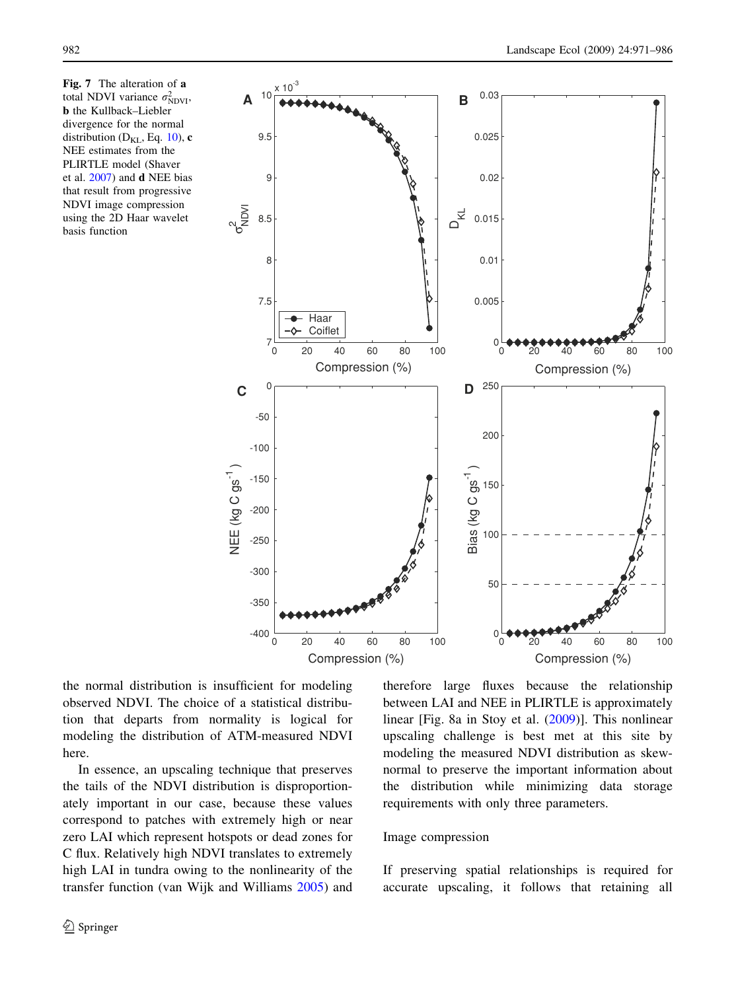<span id="page-11-0"></span>Fig. 7 The alteration of a total NDVI variance  $\sigma_{NDVI}^2$ , b the Kullback–Liebler divergence for the normal distribution ( $D_{KL}$ , Eq. [10](#page-4-0)), c NEE estimates from the PLIRTLE model (Shaver et al. [2007](#page-14-0)) and d NEE bias that result from progressive NDVI image compression using the 2D Haar wavelet basis function



the normal distribution is insufficient for modeling observed NDVI. The choice of a statistical distribution that departs from normality is logical for modeling the distribution of ATM-measured NDVI here.

In essence, an upscaling technique that preserves the tails of the NDVI distribution is disproportionately important in our case, because these values correspond to patches with extremely high or near zero LAI which represent hotspots or dead zones for C flux. Relatively high NDVI translates to extremely high LAI in tundra owing to the nonlinearity of the transfer function (van Wijk and Williams [2005\)](#page-14-0) and

therefore large fluxes because the relationship between LAI and NEE in PLIRTLE is approximately linear [Fig. 8a in Stoy et al. [\(2009](#page-14-0))]. This nonlinear upscaling challenge is best met at this site by modeling the measured NDVI distribution as skewnormal to preserve the important information about the distribution while minimizing data storage requirements with only three parameters.

## Image compression

If preserving spatial relationships is required for accurate upscaling, it follows that retaining all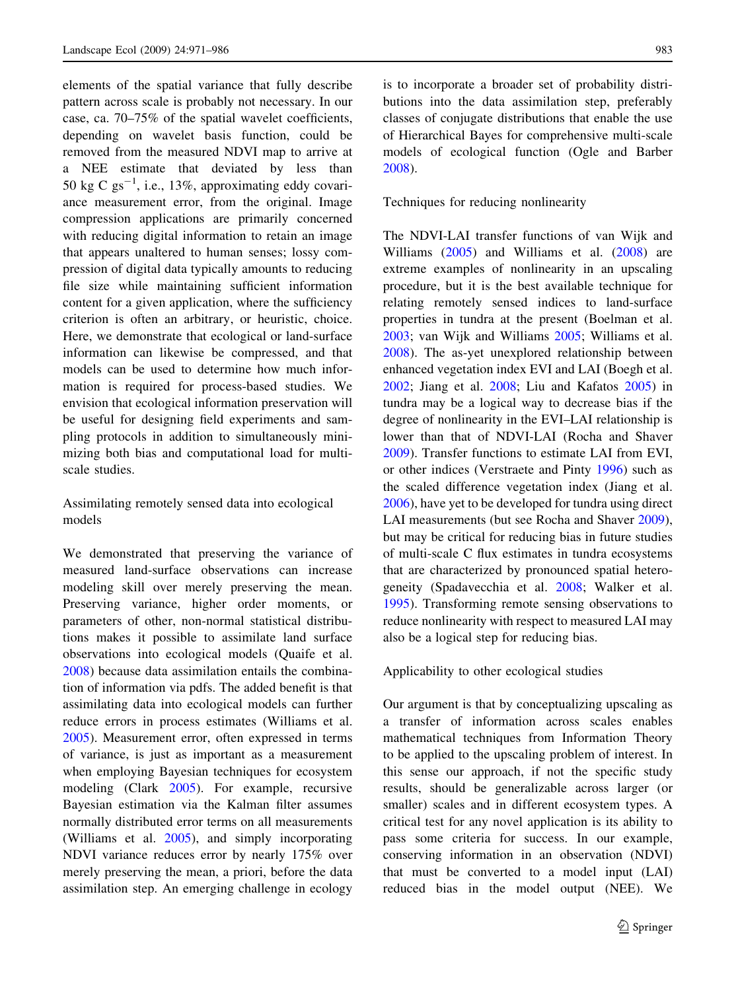elements of the spatial variance that fully describe pattern across scale is probably not necessary. In our case, ca. 70–75% of the spatial wavelet coefficients, depending on wavelet basis function, could be removed from the measured NDVI map to arrive at a NEE estimate that deviated by less than 50 kg C  $gs^{-1}$ , i.e., 13%, approximating eddy covariance measurement error, from the original. Image compression applications are primarily concerned with reducing digital information to retain an image that appears unaltered to human senses; lossy compression of digital data typically amounts to reducing file size while maintaining sufficient information content for a given application, where the sufficiency criterion is often an arbitrary, or heuristic, choice. Here, we demonstrate that ecological or land-surface information can likewise be compressed, and that models can be used to determine how much information is required for process-based studies. We envision that ecological information preservation will be useful for designing field experiments and sampling protocols in addition to simultaneously minimizing both bias and computational load for multiscale studies.

Assimilating remotely sensed data into ecological models

We demonstrated that preserving the variance of measured land-surface observations can increase modeling skill over merely preserving the mean. Preserving variance, higher order moments, or parameters of other, non-normal statistical distributions makes it possible to assimilate land surface observations into ecological models (Quaife et al. [2008\)](#page-14-0) because data assimilation entails the combination of information via pdfs. The added benefit is that assimilating data into ecological models can further reduce errors in process estimates (Williams et al. [2005\)](#page-15-0). Measurement error, often expressed in terms of variance, is just as important as a measurement when employing Bayesian techniques for ecosystem modeling (Clark [2005\)](#page-13-0). For example, recursive Bayesian estimation via the Kalman filter assumes normally distributed error terms on all measurements (Williams et al. [2005](#page-15-0)), and simply incorporating NDVI variance reduces error by nearly 175% over merely preserving the mean, a priori, before the data assimilation step. An emerging challenge in ecology

is to incorporate a broader set of probability distributions into the data assimilation step, preferably classes of conjugate distributions that enable the use of Hierarchical Bayes for comprehensive multi-scale models of ecological function (Ogle and Barber [2008\)](#page-14-0).

Techniques for reducing nonlinearity

The NDVI-LAI transfer functions of van Wijk and Williams [\(2005](#page-14-0)) and Williams et al. [\(2008](#page-15-0)) are extreme examples of nonlinearity in an upscaling procedure, but it is the best available technique for relating remotely sensed indices to land-surface properties in tundra at the present (Boelman et al. [2003;](#page-13-0) van Wijk and Williams [2005](#page-14-0); Williams et al. [2008\)](#page-15-0). The as-yet unexplored relationship between enhanced vegetation index EVI and LAI (Boegh et al. [2002;](#page-13-0) Jiang et al. [2008](#page-14-0); Liu and Kafatos [2005\)](#page-14-0) in tundra may be a logical way to decrease bias if the degree of nonlinearity in the EVI–LAI relationship is lower than that of NDVI-LAI (Rocha and Shaver [2009\)](#page-14-0). Transfer functions to estimate LAI from EVI, or other indices (Verstraete and Pinty [1996](#page-14-0)) such as the scaled difference vegetation index (Jiang et al. [2006\)](#page-14-0), have yet to be developed for tundra using direct LAI measurements (but see Rocha and Shaver [2009](#page-14-0)), but may be critical for reducing bias in future studies of multi-scale C flux estimates in tundra ecosystems that are characterized by pronounced spatial heterogeneity (Spadavecchia et al. [2008](#page-14-0); Walker et al. [1995\)](#page-14-0). Transforming remote sensing observations to reduce nonlinearity with respect to measured LAI may also be a logical step for reducing bias.

Applicability to other ecological studies

Our argument is that by conceptualizing upscaling as a transfer of information across scales enables mathematical techniques from Information Theory to be applied to the upscaling problem of interest. In this sense our approach, if not the specific study results, should be generalizable across larger (or smaller) scales and in different ecosystem types. A critical test for any novel application is its ability to pass some criteria for success. In our example, conserving information in an observation (NDVI) that must be converted to a model input (LAI) reduced bias in the model output (NEE). We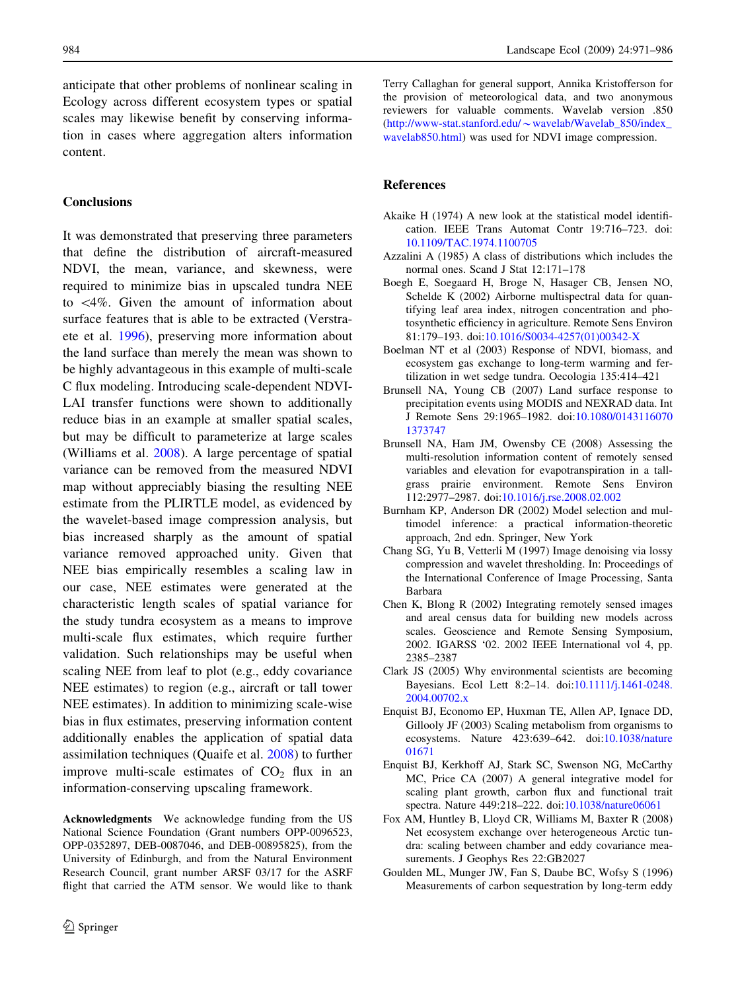<span id="page-13-0"></span>anticipate that other problems of nonlinear scaling in Ecology across different ecosystem types or spatial scales may likewise benefit by conserving information in cases where aggregation alters information content.

# **Conclusions**

It was demonstrated that preserving three parameters that define the distribution of aircraft-measured NDVI, the mean, variance, and skewness, were required to minimize bias in upscaled tundra NEE to  $\langle 4\%$ . Given the amount of information about surface features that is able to be extracted (Verstraete et al. [1996\)](#page-14-0), preserving more information about the land surface than merely the mean was shown to be highly advantageous in this example of multi-scale C flux modeling. Introducing scale-dependent NDVI-LAI transfer functions were shown to additionally reduce bias in an example at smaller spatial scales, but may be difficult to parameterize at large scales (Williams et al. [2008](#page-15-0)). A large percentage of spatial variance can be removed from the measured NDVI map without appreciably biasing the resulting NEE estimate from the PLIRTLE model, as evidenced by the wavelet-based image compression analysis, but bias increased sharply as the amount of spatial variance removed approached unity. Given that NEE bias empirically resembles a scaling law in our case, NEE estimates were generated at the characteristic length scales of spatial variance for the study tundra ecosystem as a means to improve multi-scale flux estimates, which require further validation. Such relationships may be useful when scaling NEE from leaf to plot (e.g., eddy covariance NEE estimates) to region (e.g., aircraft or tall tower NEE estimates). In addition to minimizing scale-wise bias in flux estimates, preserving information content additionally enables the application of spatial data assimilation techniques (Quaife et al. [2008\)](#page-14-0) to further improve multi-scale estimates of  $CO<sub>2</sub>$  flux in an information-conserving upscaling framework.

Acknowledgments We acknowledge funding from the US National Science Foundation (Grant numbers OPP-0096523, OPP-0352897, DEB-0087046, and DEB-00895825), from the University of Edinburgh, and from the Natural Environment Research Council, grant number ARSF 03/17 for the ASRF flight that carried the ATM sensor. We would like to thank Terry Callaghan for general support, Annika Kristofferson for the provision of meteorological data, and two anonymous reviewers for valuable comments. Wavelab version .850 (http://www-stat.stanford.edu/*\**[wavelab/Wavelab\\_850/index\\_](http://www-stat.stanford.edu/~wavelab/Wavelab_850/index_wavelab850.html) [wavelab850.html\)](http://www-stat.stanford.edu/~wavelab/Wavelab_850/index_wavelab850.html) was used for NDVI image compression.

## References

- Akaike H (1974) A new look at the statistical model identification. IEEE Trans Automat Contr 19:716–723. doi: [10.1109/TAC.1974.1100705](http://dx.doi.org/10.1109/TAC.1974.1100705)
- Azzalini A (1985) A class of distributions which includes the normal ones. Scand J Stat 12:171–178
- Boegh E, Soegaard H, Broge N, Hasager CB, Jensen NO, Schelde K (2002) Airborne multispectral data for quantifying leaf area index, nitrogen concentration and photosynthetic efficiency in agriculture. Remote Sens Environ 81:179–193. doi:[10.1016/S0034-4257\(01\)00342-X](http://dx.doi.org/10.1016/S0034-4257(01)00342-X)
- Boelman NT et al (2003) Response of NDVI, biomass, and ecosystem gas exchange to long-term warming and fertilization in wet sedge tundra. Oecologia 135:414–421
- Brunsell NA, Young CB (2007) Land surface response to precipitation events using MODIS and NEXRAD data. Int J Remote Sens 29:1965–1982. doi[:10.1080/0143116070](http://dx.doi.org/10.1080/01431160701373747) [1373747](http://dx.doi.org/10.1080/01431160701373747)
- Brunsell NA, Ham JM, Owensby CE (2008) Assessing the multi-resolution information content of remotely sensed variables and elevation for evapotranspiration in a tallgrass prairie environment. Remote Sens Environ 112:2977–2987. doi[:10.1016/j.rse.2008.02.002](http://dx.doi.org/10.1016/j.rse.2008.02.002)
- Burnham KP, Anderson DR (2002) Model selection and multimodel inference: a practical information-theoretic approach, 2nd edn. Springer, New York
- Chang SG, Yu B, Vetterli M (1997) Image denoising via lossy compression and wavelet thresholding. In: Proceedings of the International Conference of Image Processing, Santa Barbara
- Chen K, Blong R (2002) Integrating remotely sensed images and areal census data for building new models across scales. Geoscience and Remote Sensing Symposium, 2002. IGARSS '02. 2002 IEEE International vol 4, pp. 2385–2387
- Clark JS (2005) Why environmental scientists are becoming Bayesians. Ecol Lett 8:2–14. doi[:10.1111/j.1461-0248.](http://dx.doi.org/10.1111/j.1461-0248.2004.00702.x) [2004.00702.x](http://dx.doi.org/10.1111/j.1461-0248.2004.00702.x)
- Enquist BJ, Economo EP, Huxman TE, Allen AP, Ignace DD, Gillooly JF (2003) Scaling metabolism from organisms to ecosystems. Nature 423:639–642. doi[:10.1038/nature](http://dx.doi.org/10.1038/nature01671) [01671](http://dx.doi.org/10.1038/nature01671)
- Enquist BJ, Kerkhoff AJ, Stark SC, Swenson NG, McCarthy MC, Price CA (2007) A general integrative model for scaling plant growth, carbon flux and functional trait spectra. Nature 449:218–222. doi:[10.1038/nature06061](http://dx.doi.org/10.1038/nature06061)
- Fox AM, Huntley B, Lloyd CR, Williams M, Baxter R (2008) Net ecosystem exchange over heterogeneous Arctic tundra: scaling between chamber and eddy covariance measurements. J Geophys Res 22:GB2027
- Goulden ML, Munger JW, Fan S, Daube BC, Wofsy S (1996) Measurements of carbon sequestration by long-term eddy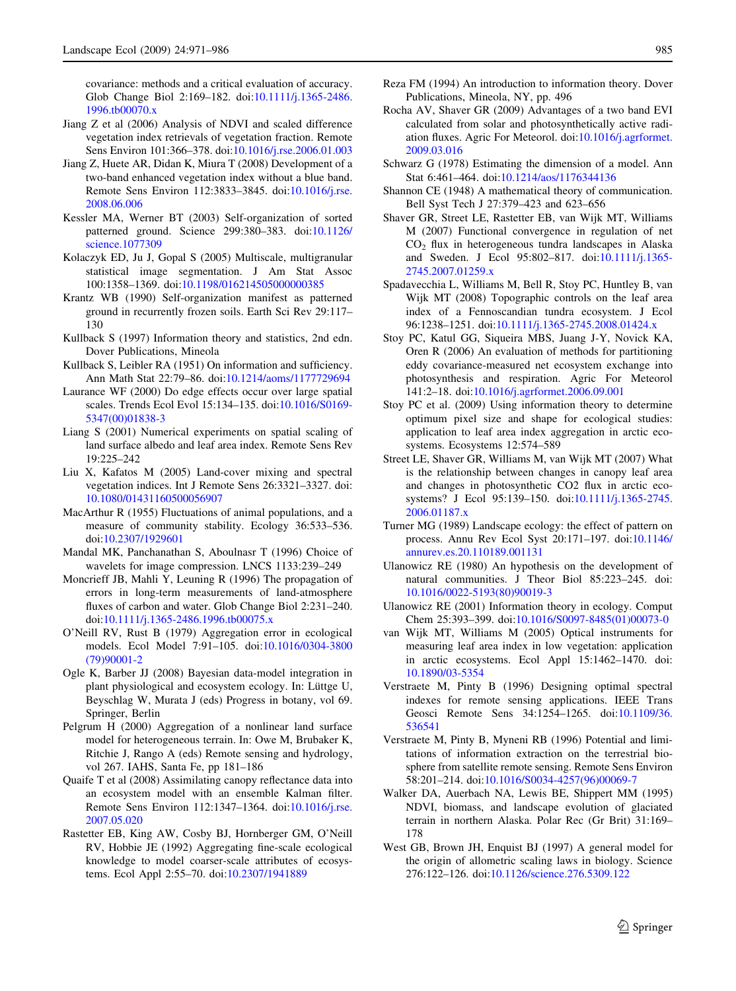<span id="page-14-0"></span>covariance: methods and a critical evaluation of accuracy. Glob Change Biol 2:169–182. doi:[10.1111/j.1365-2486.](http://dx.doi.org/10.1111/j.1365-2486.1996.tb00070.x) [1996.tb00070.x](http://dx.doi.org/10.1111/j.1365-2486.1996.tb00070.x)

- Jiang Z et al (2006) Analysis of NDVI and scaled difference vegetation index retrievals of vegetation fraction. Remote Sens Environ 101:366–378. doi[:10.1016/j.rse.2006.01.003](http://dx.doi.org/10.1016/j.rse.2006.01.003)
- Jiang Z, Huete AR, Didan K, Miura T (2008) Development of a two-band enhanced vegetation index without a blue band. Remote Sens Environ 112:3833–3845. doi:[10.1016/j.rse.](http://dx.doi.org/10.1016/j.rse.2008.06.006) [2008.06.006](http://dx.doi.org/10.1016/j.rse.2008.06.006)
- Kessler MA, Werner BT (2003) Self-organization of sorted patterned ground. Science 299:380–383. doi[:10.1126/](http://dx.doi.org/10.1126/science.1077309) [science.1077309](http://dx.doi.org/10.1126/science.1077309)
- Kolaczyk ED, Ju J, Gopal S (2005) Multiscale, multigranular statistical image segmentation. J Am Stat Assoc 100:1358–1369. doi[:10.1198/016214505000000385](http://dx.doi.org/10.1198/016214505000000385)
- Krantz WB (1990) Self-organization manifest as patterned ground in recurrently frozen soils. Earth Sci Rev 29:117– 130
- Kullback S (1997) Information theory and statistics, 2nd edn. Dover Publications, Mineola
- Kullback S, Leibler RA (1951) On information and sufficiency. Ann Math Stat 22:79–86. doi[:10.1214/aoms/1177729694](http://dx.doi.org/10.1214/aoms/1177729694)
- Laurance WF (2000) Do edge effects occur over large spatial scales. Trends Ecol Evol 15:134–135. doi:[10.1016/S0169-](http://dx.doi.org/10.1016/S0169-5347(00)01838-3) [5347\(00\)01838-3](http://dx.doi.org/10.1016/S0169-5347(00)01838-3)
- Liang S (2001) Numerical experiments on spatial scaling of land surface albedo and leaf area index. Remote Sens Rev 19:225–242
- Liu X, Kafatos M (2005) Land-cover mixing and spectral vegetation indices. Int J Remote Sens 26:3321–3327. doi: [10.1080/01431160500056907](http://dx.doi.org/10.1080/01431160500056907)
- MacArthur R (1955) Fluctuations of animal populations, and a measure of community stability. Ecology 36:533–536. doi[:10.2307/1929601](http://dx.doi.org/10.2307/1929601)
- Mandal MK, Panchanathan S, Aboulnasr T (1996) Choice of wavelets for image compression. LNCS 1133:239–249
- Moncrieff JB, Mahli Y, Leuning R (1996) The propagation of errors in long-term measurements of land-atmosphere fluxes of carbon and water. Glob Change Biol 2:231–240. doi[:10.1111/j.1365-2486.1996.tb00075.x](http://dx.doi.org/10.1111/j.1365-2486.1996.tb00075.x)
- O'Neill RV, Rust B (1979) Aggregation error in ecological models. Ecol Model 7:91–105. doi:[10.1016/0304-3800](http://dx.doi.org/10.1016/0304-3800(79)90001-2) [\(79\)90001-2](http://dx.doi.org/10.1016/0304-3800(79)90001-2)
- Ogle K, Barber JJ (2008) Bayesian data-model integration in plant physiological and ecosystem ecology. In: Lüttge U, Beyschlag W, Murata J (eds) Progress in botany, vol 69. Springer, Berlin
- Pelgrum H (2000) Aggregation of a nonlinear land surface model for heterogeneous terrain. In: Owe M, Brubaker K, Ritchie J, Rango A (eds) Remote sensing and hydrology, vol 267. IAHS, Santa Fe, pp 181–186
- Quaife T et al (2008) Assimilating canopy reflectance data into an ecosystem model with an ensemble Kalman filter. Remote Sens Environ 112:1347–1364. doi:[10.1016/j.rse.](http://dx.doi.org/10.1016/j.rse.2007.05.020) [2007.05.020](http://dx.doi.org/10.1016/j.rse.2007.05.020)
- Rastetter EB, King AW, Cosby BJ, Hornberger GM, O'Neill RV, Hobbie JE (1992) Aggregating fine-scale ecological knowledge to model coarser-scale attributes of ecosystems. Ecol Appl 2:55–70. doi:[10.2307/1941889](http://dx.doi.org/10.2307/1941889)
- Reza FM (1994) An introduction to information theory. Dover Publications, Mineola, NY, pp. 496
- Rocha AV, Shaver GR (2009) Advantages of a two band EVI calculated from solar and photosynthetically active radiation fluxes. Agric For Meteorol. doi[:10.1016/j.agrformet.](http://dx.doi.org/10.1016/j.agrformet.2009.03.016) [2009.03.016](http://dx.doi.org/10.1016/j.agrformet.2009.03.016)
- Schwarz G (1978) Estimating the dimension of a model. Ann Stat 6:461–464. doi[:10.1214/aos/1176344136](http://dx.doi.org/10.1214/aos/1176344136)
- Shannon CE (1948) A mathematical theory of communication. Bell Syst Tech J 27:379–423 and 623–656
- Shaver GR, Street LE, Rastetter EB, van Wijk MT, Williams M (2007) Functional convergence in regulation of net  $CO<sub>2</sub>$  flux in heterogeneous tundra landscapes in Alaska and Sweden. J Ecol 95:802–817. doi[:10.1111/j.1365-](http://dx.doi.org/10.1111/j.1365-2745.2007.01259.x) [2745.2007.01259.x](http://dx.doi.org/10.1111/j.1365-2745.2007.01259.x)
- Spadavecchia L, Williams M, Bell R, Stoy PC, Huntley B, van Wijk MT (2008) Topographic controls on the leaf area index of a Fennoscandian tundra ecosystem. J Ecol 96:1238–1251. doi[:10.1111/j.1365-2745.2008.01424.x](http://dx.doi.org/10.1111/j.1365-2745.2008.01424.x)
- Stoy PC, Katul GG, Siqueira MBS, Juang J-Y, Novick KA, Oren R (2006) An evaluation of methods for partitioning eddy covariance-measured net ecosystem exchange into photosynthesis and respiration. Agric For Meteorol 141:2–18. doi[:10.1016/j.agrformet.2006.09.001](http://dx.doi.org/10.1016/j.agrformet.2006.09.001)
- Stoy PC et al. (2009) Using information theory to determine optimum pixel size and shape for ecological studies: application to leaf area index aggregation in arctic ecosystems. Ecosystems 12:574–589
- Street LE, Shaver GR, Williams M, van Wijk MT (2007) What is the relationship between changes in canopy leaf area and changes in photosynthetic CO2 flux in arctic ecosystems? J Ecol 95:139–150. doi[:10.1111/j.1365-2745.](http://dx.doi.org/10.1111/j.1365-2745.2006.01187.x) [2006.01187.x](http://dx.doi.org/10.1111/j.1365-2745.2006.01187.x)
- Turner MG (1989) Landscape ecology: the effect of pattern on process. Annu Rev Ecol Syst 20:171–197. doi[:10.1146/](http://dx.doi.org/10.1146/annurev.es.20.110189.001131) [annurev.es.20.110189.001131](http://dx.doi.org/10.1146/annurev.es.20.110189.001131)
- Ulanowicz RE (1980) An hypothesis on the development of natural communities. J Theor Biol 85:223–245. doi: [10.1016/0022-5193\(80\)90019-3](http://dx.doi.org/10.1016/0022-5193(80)90019-3)
- Ulanowicz RE (2001) Information theory in ecology. Comput Chem 25:393–399. doi:[10.1016/S0097-8485\(01\)00073-0](http://dx.doi.org/10.1016/S0097-8485(01)00073-0)
- van Wijk MT, Williams M (2005) Optical instruments for measuring leaf area index in low vegetation: application in arctic ecosystems. Ecol Appl 15:1462–1470. doi: [10.1890/03-5354](http://dx.doi.org/10.1890/03-5354)
- Verstraete M, Pinty B (1996) Designing optimal spectral indexes for remote sensing applications. IEEE Trans Geosci Remote Sens 34:1254–1265. doi:[10.1109/36.](http://dx.doi.org/10.1109/36.536541) [536541](http://dx.doi.org/10.1109/36.536541)
- Verstraete M, Pinty B, Myneni RB (1996) Potential and limitations of information extraction on the terrestrial biosphere from satellite remote sensing. Remote Sens Environ 58:201–214. doi[:10.1016/S0034-4257\(96\)00069-7](http://dx.doi.org/10.1016/S0034-4257(96)00069-7)
- Walker DA, Auerbach NA, Lewis BE, Shippert MM (1995) NDVI, biomass, and landscape evolution of glaciated terrain in northern Alaska. Polar Rec (Gr Brit) 31:169– 178
- West GB, Brown JH, Enquist BJ (1997) A general model for the origin of allometric scaling laws in biology. Science 276:122–126. doi:[10.1126/science.276.5309.122](http://dx.doi.org/10.1126/science.276.5309.122)